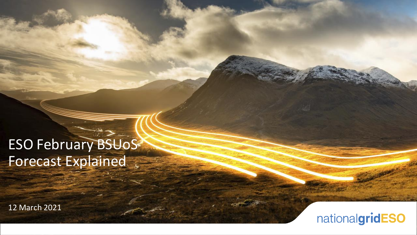# ESO February BSUoS Forecast Explained

12 March 2021